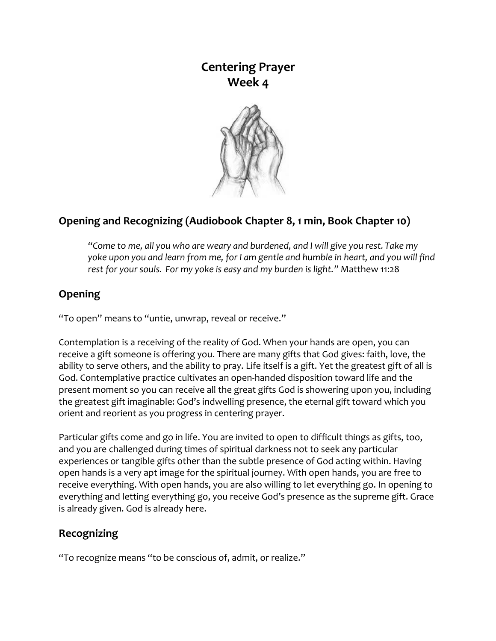## **Centering Prayer Week 4**



## **Opening and Recognizing (Audiobook Chapter 8, 1 min, Book Chapter 10)**

*"Come to me, all you who are weary and burdened, and I will give you rest. Take my yoke upon you and learn from me, for I am gentle and humble in heart, and you will find rest for your souls. For my yoke is easy and my burden is light."* Matthew 11:28

## **Opening**

"To open" means to "untie, unwrap, reveal or receive."

Contemplation is a receiving of the reality of God. When your hands are open, you can receive a gift someone is offering you. There are many gifts that God gives: faith, love, the ability to serve others, and the ability to pray. Life itself is a gift. Yet the greatest gift of all is God. Contemplative practice cultivates an open-handed disposition toward life and the present moment so you can receive all the great gifts God is showering upon you, including the greatest gift imaginable: God's indwelling presence, the eternal gift toward which you orient and reorient as you progress in centering prayer.

Particular gifts come and go in life. You are invited to open to difficult things as gifts, too, and you are challenged during times of spiritual darkness not to seek any particular experiences or tangible gifts other than the subtle presence of God acting within. Having open hands is a very apt image for the spiritual journey. With open hands, you are free to receive everything. With open hands, you are also willing to let everything go. In opening to everything and letting everything go, you receive God's presence as the supreme gift. Grace is already given. God is already here.

## **Recognizing**

"To recognize means "to be conscious of, admit, or realize."